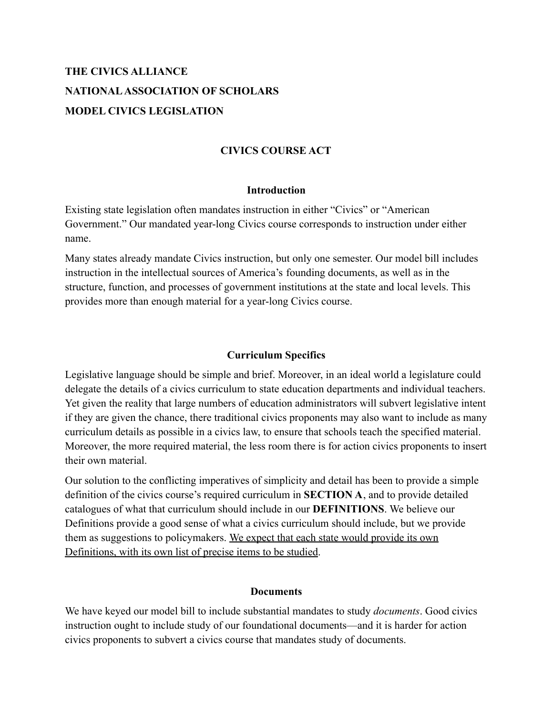# **THE CIVICS ALLIANCE NATIONALASSOCIATION OF SCHOLARS MODEL CIVICS LEGISLATION**

# **CIVICS COURSE ACT**

#### **Introduction**

Existing state legislation often mandates instruction in either "Civics" or "American Government." Our mandated year-long Civics course corresponds to instruction under either name.

Many states already mandate Civics instruction, but only one semester. Our model bill includes instruction in the intellectual sources of America's founding documents, as well as in the structure, function, and processes of government institutions at the state and local levels. This provides more than enough material for a year-long Civics course.

### **Curriculum Specifics**

Legislative language should be simple and brief. Moreover, in an ideal world a legislature could delegate the details of a civics curriculum to state education departments and individual teachers. Yet given the reality that large numbers of education administrators will subvert legislative intent if they are given the chance, there traditional civics proponents may also want to include as many curriculum details as possible in a civics law, to ensure that schools teach the specified material. Moreover, the more required material, the less room there is for action civics proponents to insert their own material.

Our solution to the conflicting imperatives of simplicity and detail has been to provide a simple definition of the civics course's required curriculum in **SECTION A**, and to provide detailed catalogues of what that curriculum should include in our **DEFINITIONS**. We believe our Definitions provide a good sense of what a civics curriculum should include, but we provide them as suggestions to policymakers. We expect that each state would provide its own Definitions, with its own list of precise items to be studied.

### **Documents**

We have keyed our model bill to include substantial mandates to study *documents*. Good civics instruction ought to include study of our foundational documents—and it is harder for action civics proponents to subvert a civics course that mandates study of documents.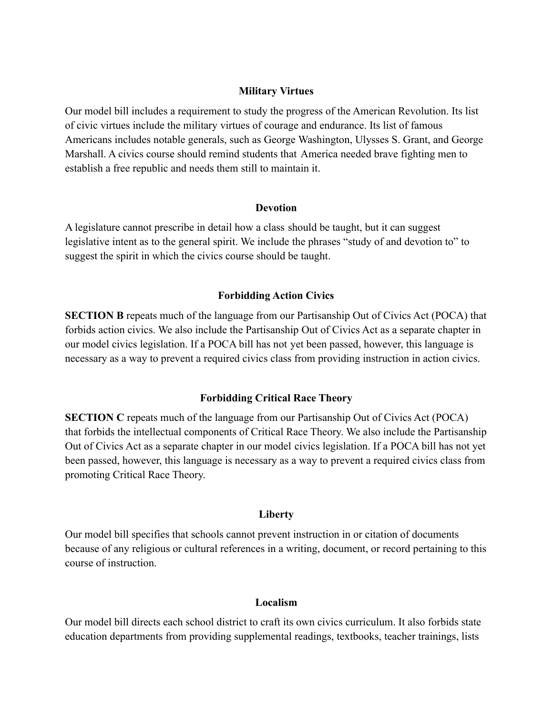#### **Military Virtues**

Our model bill includes a requirement to study the progress of the American Revolution. Its list of civic virtues include the military virtues of courage and endurance. Its list of famous Americans includes notable generals, such as George Washington, Ulysses S. Grant, and George Marshall. A civics course should remind students that America needed brave fighting men to establish a free republic and needs them still to maintain it.

#### **Devotion**

A legislature cannot prescribe in detail how a class should be taught, but it can suggest legislative intent as to the general spirit. We include the phrases "study of and devotion to" to suggest the spirit in which the civics course should be taught.

### **Forbidding Action Civics**

**SECTION B** repeats much of the language from our Partisanship Out of Civics Act (POCA) that forbids action civics. We also include the Partisanship Out of Civics Act as a separate chapter in our model civics legislation. If a POCA bill has not yet been passed, however, this language is necessary as a way to prevent a required civics class from providing instruction in action civics.

### **Forbidding Critical Race Theory**

**SECTION C** repeats much of the language from our Partisanship Out of Civics Act (POCA) that forbids the intellectual components of Critical Race Theory. We also include the Partisanship Out of Civics Act as a separate chapter in our model civics legislation. If a POCA bill has not yet been passed, however, this language is necessary as a way to prevent a required civics class from promoting Critical Race Theory.

### **Liberty**

Our model bill specifies that schools cannot prevent instruction in or citation of documents because of any religious or cultural references in a writing, document, or record pertaining to this course of instruction.

### **Localism**

Our model bill directs each school district to craft its own civics curriculum. It also forbids state education departments from providing supplemental readings, textbooks, teacher trainings, lists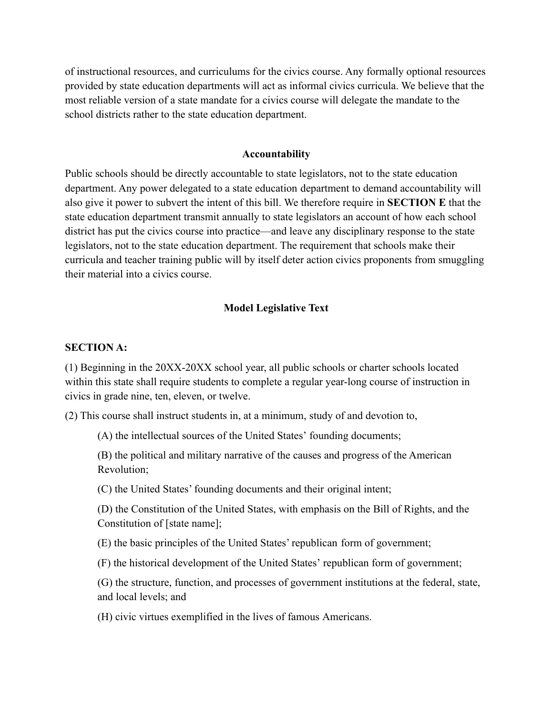of instructional resources, and curriculums for the civics course. Any formally optional resources provided by state education departments will act as informal civics curricula. We believe that the most reliable version of a state mandate for a civics course will delegate the mandate to the school districts rather to the state education department.

#### **Accountability**

Public schools should be directly accountable to state legislators, not to the state education department. Any power delegated to a state education department to demand accountability will also give it power to subvert the intent of this bill. We therefore require in **SECTION E** that the state education department transmit annually to state legislators an account of how each school district has put the civics course into practice—and leave any disciplinary response to the state legislators, not to the state education department. The requirement that schools make their curricula and teacher training public will by itself deter action civics proponents from smuggling their material into a civics course.

#### **Model Legislative Text**

#### **SECTION A:**

(1) Beginning in the 20XX-20XX school year, all public schools or charter schools located within this state shall require students to complete a regular year-long course of instruction in civics in grade nine, ten, eleven, or twelve.

(2) This course shall instruct students in, at a minimum, study of and devotion to,

(A) the intellectual sources of the United States' founding documents;

(B) the political and military narrative of the causes and progress of the American Revolution;

(C) the United States' founding documents and their original intent;

(D) the Constitution of the United States, with emphasis on the Bill of Rights, and the Constitution of [state name];

(E) the basic principles of the United States' republican form of government;

(F) the historical development of the United States' republican form of government;

(G) the structure, function, and processes of government institutions at the federal, state, and local levels; and

(H) civic virtues exemplified in the lives of famous Americans.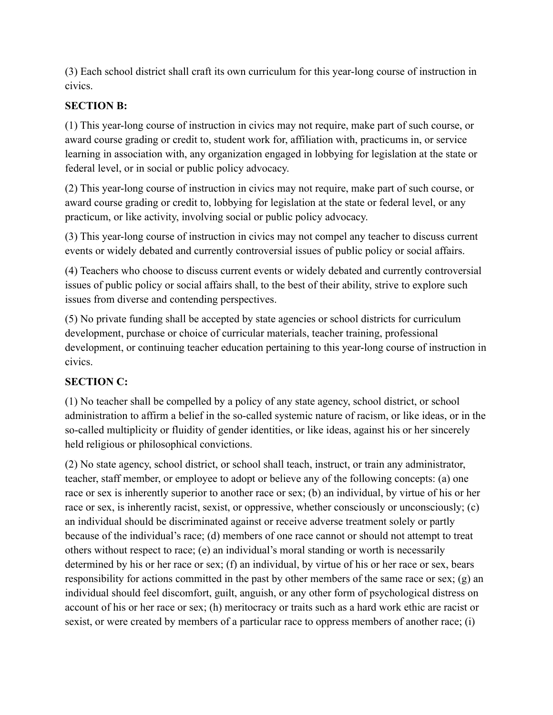(3) Each school district shall craft its own curriculum for this year-long course of instruction in civics.

# **SECTION B:**

(1) This year-long course of instruction in civics may not require, make part of such course, or award course grading or credit to, student work for, affiliation with, practicums in, or service learning in association with, any organization engaged in lobbying for legislation at the state or federal level, or in social or public policy advocacy.

(2) This year-long course of instruction in civics may not require, make part of such course, or award course grading or credit to, lobbying for legislation at the state or federal level, or any practicum, or like activity, involving social or public policy advocacy.

(3) This year-long course of instruction in civics may not compel any teacher to discuss current events or widely debated and currently controversial issues of public policy or social affairs.

(4) Teachers who choose to discuss current events or widely debated and currently controversial issues of public policy or social affairs shall, to the best of their ability, strive to explore such issues from diverse and contending perspectives.

(5) No private funding shall be accepted by state agencies or school districts for curriculum development, purchase or choice of curricular materials, teacher training, professional development, or continuing teacher education pertaining to this year-long course of instruction in civics.

# **SECTION C:**

(1) No teacher shall be compelled by a policy of any state agency, school district, or school administration to affirm a belief in the so-called systemic nature of racism, or like ideas, or in the so-called multiplicity or fluidity of gender identities, or like ideas, against his or her sincerely held religious or philosophical convictions.

(2) No state agency, school district, or school shall teach, instruct, or train any administrator, teacher, staff member, or employee to adopt or believe any of the following concepts: (a) one race or sex is inherently superior to another race or sex; (b) an individual, by virtue of his or her race or sex, is inherently racist, sexist, or oppressive, whether consciously or unconsciously; (c) an individual should be discriminated against or receive adverse treatment solely or partly because of the individual's race; (d) members of one race cannot or should not attempt to treat others without respect to race; (e) an individual's moral standing or worth is necessarily determined by his or her race or sex; (f) an individual, by virtue of his or her race or sex, bears responsibility for actions committed in the past by other members of the same race or sex; (g) an individual should feel discomfort, guilt, anguish, or any other form of psychological distress on account of his or her race or sex; (h) meritocracy or traits such as a hard work ethic are racist or sexist, or were created by members of a particular race to oppress members of another race; (i)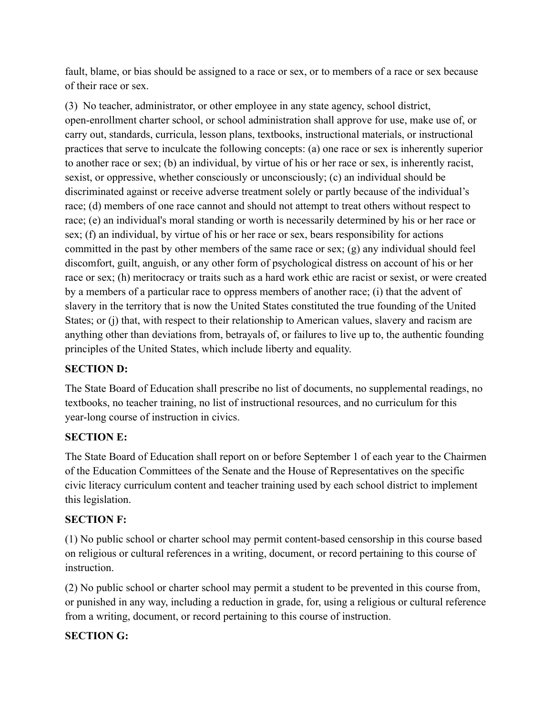fault, blame, or bias should be assigned to a race or sex, or to members of a race or sex because of their race or sex.

(3) No teacher, administrator, or other employee in any state agency, school district, open-enrollment charter school, or school administration shall approve for use, make use of, or carry out, standards, curricula, lesson plans, textbooks, instructional materials, or instructional practices that serve to inculcate the following concepts: (a) one race or sex is inherently superior to another race or sex; (b) an individual, by virtue of his or her race or sex, is inherently racist, sexist, or oppressive, whether consciously or unconsciously; (c) an individual should be discriminated against or receive adverse treatment solely or partly because of the individual's race; (d) members of one race cannot and should not attempt to treat others without respect to race; (e) an individual's moral standing or worth is necessarily determined by his or her race or sex; (f) an individual, by virtue of his or her race or sex, bears responsibility for actions committed in the past by other members of the same race or sex; (g) any individual should feel discomfort, guilt, anguish, or any other form of psychological distress on account of his or her race or sex; (h) meritocracy or traits such as a hard work ethic are racist or sexist, or were created by a members of a particular race to oppress members of another race; (i) that the advent of slavery in the territory that is now the United States constituted the true founding of the United States; or (j) that, with respect to their relationship to American values, slavery and racism are anything other than deviations from, betrayals of, or failures to live up to, the authentic founding principles of the United States, which include liberty and equality.

# **SECTION D:**

The State Board of Education shall prescribe no list of documents, no supplemental readings, no textbooks, no teacher training, no list of instructional resources, and no curriculum for this year-long course of instruction in civics.

# **SECTION E:**

The State Board of Education shall report on or before September 1 of each year to the Chairmen of the Education Committees of the Senate and the House of Representatives on the specific civic literacy curriculum content and teacher training used by each school district to implement this legislation.

# **SECTION F:**

(1) No public school or charter school may permit content-based censorship in this course based on religious or cultural references in a writing, document, or record pertaining to this course of instruction.

(2) No public school or charter school may permit a student to be prevented in this course from, or punished in any way, including a reduction in grade, for, using a religious or cultural reference from a writing, document, or record pertaining to this course of instruction.

# **SECTION G:**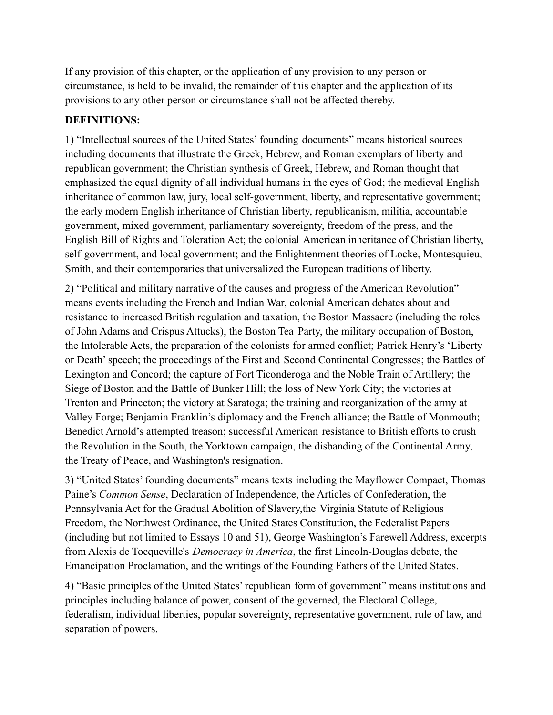If any provision of this chapter, or the application of any provision to any person or circumstance, is held to be invalid, the remainder of this chapter and the application of its provisions to any other person or circumstance shall not be affected thereby.

# **DEFINITIONS:**

1) "Intellectual sources of the United States' founding documents" means historical sources including documents that illustrate the Greek, Hebrew, and Roman exemplars of liberty and republican government; the Christian synthesis of Greek, Hebrew, and Roman thought that emphasized the equal dignity of all individual humans in the eyes of God; the medieval English inheritance of common law, jury, local self-government, liberty, and representative government; the early modern English inheritance of Christian liberty, republicanism, militia, accountable government, mixed government, parliamentary sovereignty, freedom of the press, and the English Bill of Rights and Toleration Act; the colonial American inheritance of Christian liberty, self-government, and local government; and the Enlightenment theories of Locke, Montesquieu, Smith, and their contemporaries that universalized the European traditions of liberty.

2) "Political and military narrative of the causes and progress of the American Revolution" means events including the French and Indian War, colonial American debates about and resistance to increased British regulation and taxation, the Boston Massacre (including the roles of John Adams and Crispus Attucks), the Boston Tea Party, the military occupation of Boston, the Intolerable Acts, the preparation of the colonists for armed conflict; Patrick Henry's 'Liberty or Death' speech; the proceedings of the First and Second Continental Congresses; the Battles of Lexington and Concord; the capture of Fort Ticonderoga and the Noble Train of Artillery; the Siege of Boston and the Battle of Bunker Hill; the loss of New York City; the victories at Trenton and Princeton; the victory at Saratoga; the training and reorganization of the army at Valley Forge; Benjamin Franklin's diplomacy and the French alliance; the Battle of Monmouth; Benedict Arnold's attempted treason; successful American resistance to British efforts to crush the Revolution in the South, the Yorktown campaign, the disbanding of the Continental Army, the Treaty of Peace, and Washington's resignation.

3) "United States' founding documents" means texts including the Mayflower Compact, Thomas Paine's *Common Sense*, Declaration of Independence, the Articles of Confederation, the Pennsylvania Act for the Gradual Abolition of Slavery,the Virginia Statute of Religious Freedom, the Northwest Ordinance, the United States Constitution, the Federalist Papers (including but not limited to Essays 10 and 51), George Washington's Farewell Address, excerpts from Alexis de Tocqueville's *Democracy in America*, the first Lincoln-Douglas debate, the Emancipation Proclamation, and the writings of the Founding Fathers of the United States.

4) "Basic principles of the United States' republican form of government" means institutions and principles including balance of power, consent of the governed, the Electoral College, federalism, individual liberties, popular sovereignty, representative government, rule of law, and separation of powers.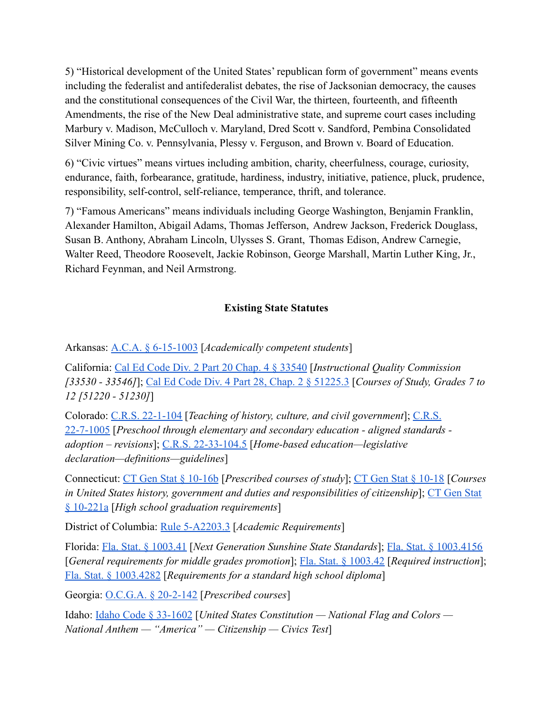5) "Historical development of the United States' republican form of government" means events including the federalist and antifederalist debates, the rise of Jacksonian democracy, the causes and the constitutional consequences of the Civil War, the thirteen, fourteenth, and fifteenth Amendments, the rise of the New Deal administrative state, and supreme court cases including Marbury v. Madison, McCulloch v. Maryland, Dred Scott v. Sandford, Pembina Consolidated Silver Mining Co. v. Pennsylvania, Plessy v. Ferguson, and Brown v. Board of Education.

6) "Civic virtues" means virtues including ambition, charity, cheerfulness, courage, curiosity, endurance, faith, forbearance, gratitude, hardiness, industry, initiative, patience, pluck, prudence, responsibility, self-control, self-reliance, temperance, thrift, and tolerance.

7) "Famous Americans" means individuals including George Washington, Benjamin Franklin, Alexander Hamilton, Abigail Adams, Thomas Jefferson, Andrew Jackson, Frederick Douglass, Susan B. Anthony, Abraham Lincoln, Ulysses S. Grant, Thomas Edison, Andrew Carnegie, Walter Reed, Theodore Roosevelt, Jackie Robinson, George Marshall, Martin Luther King, Jr., Richard Feynman, and Neil Armstrong.

### **Existing State Statutes**

Arkansas: [A.C.A. § 6-15-1003](https://codes.findlaw.com/ar/title-6-education/ar-code-sect-6-15-1003.html) [*Academically competent students*]

California: [Cal Ed Code Div. 2 Part 20 Chap. 4 § 33540](https://leginfo.legislature.ca.gov/faces/codes_displaySection.xhtml?lawCode=EDC§ionNum=33540.) [*Instructional Quality Commission [33530 - 33546]*]; [Cal Ed Code Div. 4 Part 28, Chap.](https://leginfo.legislature.ca.gov/faces/codes_displaySection.xhtml?lawCode=EDC§ionNum=51225.3.) 2 § 51225.3 [*Courses of Study, Grades 7 to 12 [51220 - 51230]*]

Colorado: [C.R.S. 22-1-104](https://legiscan.com/CO/text/SB067/id/2384645/Colorado-2021-SB067-Enrolled.pdf) [*Teaching of history, culture, and civil government*]; [C.R.S.](https://legiscan.com/CO/text/HB1103/id/2396011/Colorado-2021-HB1103-Enrolled.pdf) [22-7-1005](https://legiscan.com/CO/text/HB1103/id/2396011/Colorado-2021-HB1103-Enrolled.pdf) [*Preschool through elementary and secondary education - aligned standards adoption – revisions*]; [C.R.S. 22-33-104.5](https://codes.findlaw.com/co/title-22-education/co-rev-st-sect-22-33-104-5.html) [*Home-based education—legislative declaration—definitions—guidelines*]

Connecticut: [CT Gen Stat § 10-16b](https://www.lawserver.com/law/state/connecticut/ct-laws/connecticut_statutes_10-16b) [*Prescribed courses of study*]; [CT Gen Stat § 10-18](https://www.lawserver.com/law/state/connecticut/ct-laws/connecticut_statutes_10-18) [*Courses in United States history, government and duties and responsibilities of citizenship*]; [CT Gen Stat](https://www.lawserver.com/law/state/connecticut/ct-laws/connecticut_statutes_10-221a) [§ 10-221a](https://www.lawserver.com/law/state/connecticut/ct-laws/connecticut_statutes_10-221a) [*High school graduation requirements*]

District of Columbia: [Rule 5-A2203.3](http://dcrules.elaws.us/dcmr/5-a2203) [*Academic Requirements*]

Florida: [Fla. Stat. § 1003.41](http://www.leg.state.fl.us/Statutes/index.cfm?App_mode=Display_Statute&URL=1000-1099/1003/Sections/1003.41.html) [*Next Generation Sunshine State Standards*]; [Fla. Stat. § 1003.4156](http://www.leg.state.fl.us/Statutes/index.cfm?App_mode=Display_Statute&Search_String=&URL=1000-1099/1003/Sections/1003.4156.html) [*General requirements for middle grades promotion*]; [Fla. Stat. § 1003.42](http://www.leg.state.fl.us/Statutes/index.cfm?App_mode=Display_Statute&Search_String=&URL=1000-1099/1003/Sections/1003.42.html) [*Required instruction*]; [Fla. Stat. § 1003.4282](http://www.leg.state.fl.us/Statutes/index.cfm?App_mode=Display_Statute&Search_String=&URL=1000-1099/1003/Sections/1003.4282.html) [*Requirements for a standard high school diploma*]

Georgia: [O.C.G.A. § 20-2-142](https://law.justia.com/codes/georgia/2019/title-20/chapter-2/article-6/part-2/section-20-2-142/) [*Prescribed courses*]

Idaho: [Idaho Code § 33-1602](https://legislature.idaho.gov/statutesrules/idstat/title33/t33ch16/sect33-1602/) [*United States Constitution — National Flag and Colors — National Anthem — "America" — Citizenship — Civics Test*]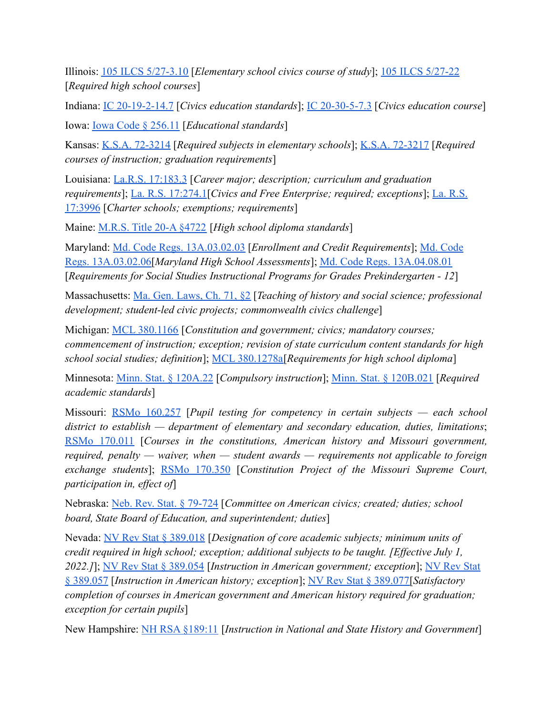Illinois: [105 ILCS 5/27-3.10](https://ilga.gov/legislation/ilcs/fulltext.asp?DocName=010500050K27-3.10) [*Elementary school civics course of study*]; [105 ILCS 5/27-22](https://ilga.gov/legislation/ilcs/fulltext.asp?DocName=010500050K27-22) [*Required high school courses*]

Indiana: [IC 20-19-2-14.7](https://legiscan.com/IN/text/HB1384/id/2348015/Indiana-2021-HB1384-Enrolled.pdf) [*Civics education standards*]; [IC 20-30-5-7.3](https://casetext.com/statute/indiana-code/title-20-education/article-30-curriculum/chapter-5-mandatory-curriculum/section-20-30-5-73-effective-712021) [*Civics education course*] Iowa: [Iowa Code § 256.11](https://www.legis.iowa.gov/docs/code/2021/256.11.pdf) [*Educational standards*]

Kansas: [K.S.A. 72-3214](https://www.ksrevisor.org/statutes/chapters/ch72/072_032_0014.html) [*Required subjects in elementary schools*]; [K.S.A. 72-3217](https://www.ksrevisor.org/statutes/chapters/ch72/072_032_0017.html) [*Required courses of instruction; graduation requirements*]

Louisiana: [La.R.S. 17:183.3](http://legis.la.gov/legis/Law.aspx?d=80003) [*Career major; description; curriculum and graduation requirements*]; [La. R.S. 17:274.1](http://legis.la.gov/legis/Law.aspx?d=80400)[*Civics and Free Enterprise; required; exceptions*]; [La. R.S.](http://legis.la.gov/legis/Law.aspx?d=80981) [17:3996](http://legis.la.gov/legis/Law.aspx?d=80981) [*Charter schools; exemptions; requirements*]

Maine: [M.R.S. Title 20-A §4722](https://www.mainelegislature.org/legis/statutes/20-A/title20-Asec4722.html) [*High school diploma standards*]

Maryland: [Md. Code Regs. 13A.03.02.03](https://casetext.com/regulation/maryland-administrative-code/title-13a-state-board-of-education/subtitle-03-general-instructional-programs/chapter-13a0302-graduation-requirements-for-public-high-schools-in-maryland/section-13a030203-enrollment-and-credit-requirements) [*Enrollment and Credit Requirements*]; [Md. Code](https://casetext.com/regulation/maryland-administrative-code/title-13a-state-board-of-education/subtitle-03-general-instructional-programs/chapter-13a0302-graduation-requirements-for-public-high-schools-in-maryland/section-13a030206-maryland-high-school-assessments) [Regs. 13A.03.02.06\[](https://casetext.com/regulation/maryland-administrative-code/title-13a-state-board-of-education/subtitle-03-general-instructional-programs/chapter-13a0302-graduation-requirements-for-public-high-schools-in-maryland/section-13a030206-maryland-high-school-assessments)*Maryland High School Assessments*]; [Md. Code Regs. 13A.04.08.01](https://casetext.com/regulation/maryland-administrative-code/title-13a-state-board-of-education/subtitle-04-specific-subjects/chapter-13a0408-program-in-social-studies/section-13a040801-requirements-for-social-studies-instructional-programs-for-grades-prekindergarten-12?) [*Requirements for Social Studies Instructional Programs for Grades Prekindergarten - 12*]

Massachusetts: [Ma. Gen. Laws, Ch. 71, §2](https://malegislature.gov/Laws/GeneralLaws/PartI/TitleXII/Chapter71/Section2) [*Teaching of history and social science; professional development; student-led civic projects; commonwealth civics challenge*]

Michigan: [MCL 380.1166](http://www.legislature.mi.gov/(S(wq4pqgmxgng5tgk2ti4aj4xh))/mileg.aspx?page=getObject&objectName=mcl-380-1166) [*Constitution and government; civics; mandatory courses; commencement of instruction; exception; revision of state curriculum content standards for high school social studies; definition*]; [MCL 380.1278a\[](http://www.legislature.mi.gov/(S(wq4pqgmxgng5tgk2ti4aj4xh))/mileg.aspx?page=getObject&objectName=mcl-380-1278a)*Requirements for high school diploma*]

Minnesota: [Minn. Stat. § 120A.22](https://www.revisor.mn.gov/statutes/cite/120A.22) [*Compulsory instruction*]; [Minn. Stat. § 120B.021](https://www.revisor.mn.gov/statutes/cite/120B.021) [*Required academic standards*]

Missouri: RSMo [160.257](https://revisor.mo.gov/main/OneSection.aspx?section=160.257&bid=7749&hl=%22social+studies%22%u2044) [*Pupil testing for competency in certain subjects — each school district to establish — department of elementary and secondary education, duties, limitations*; RSMo [170.011](https://revisor.mo.gov/main/OneSection.aspx?section=170.011&bid=33180&hl=) [*Courses in the constitutions, American history and Missouri government, required, penalty — waiver, when — student awards — requirements not applicable to foreign exchange students*]; RSMo [170.350](https://revisor.mo.gov/main/OneSection.aspx?section=170.350&bid=33182&hl=) [*Constitution Project of the Missouri Supreme Court, participation in, effect of*]

Nebraska: [Neb. Rev. Stat. § 79-724](https://nebraskalegislature.gov/laws/statutes.php?statute=79-724) [*Committee on American civics; created; duties; school board, State Board of Education, and superintendent; duties*]

Nevada: [NV Rev Stat § 389.018](https://www.leg.state.nv.us/nrs/NRS-389.html#NRS389Sec018) [*Designation of core academic subjects; minimum units of credit required in high school; exception; additional subjects to be taught. [Effective July 1, 2022.]*]; [NV Rev Stat § 389.054](https://www.leg.state.nv.us/nrs/NRS-389.html#NRS389Sec054) [*Instruction in American government; exception*]; [NV Rev Stat](https://www.leg.state.nv.us/nrs/NRS-389.html#NRS389Sec057) [§ 389.057](https://www.leg.state.nv.us/nrs/NRS-389.html#NRS389Sec057) [*Instruction in American history; exception*]; [NV Rev Stat § 389.077\[](https://www.leg.state.nv.us/nrs/NRS-389.html#NRS389Sec077)*Satisfactory completion of courses in American government and American history required for graduation; exception for certain pupils*]

New Hampshire: [NH RSA §189:11](http://www.gencourt.state.nh.us/rsa/html/xv/189/189-11.htm) [*Instruction in National and State History and Government*]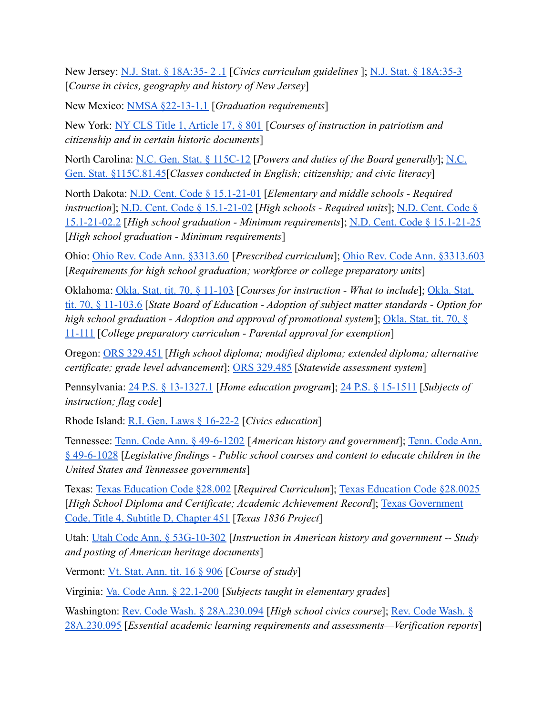New Jersey: [N.J. Stat. § 18A:35- 2 .1](https://njlaw.rutgers.edu/collections/njstats/showsect.php?title=18a&chapter=35§ion=2.1&actn=getsect) [*Civics curriculum guidelines* ]; [N.J. Stat. § 18A:35-3](https://njlaw.rutgers.edu/collections/njstats/showsect.php?title=18a&chapter=35§ion=3&actn=getsect) [*Course in civics, geography and history of New Jersey*]

New Mexico: [NMSA §22-13-1.1](https://codes.findlaw.com/nm/chapter-22-public-schools/nm-st-sect-22-13-1-1.html) [*Graduation requirements*]

New York: [NY CLS Title 1, Article 17, § 801](https://www.nysenate.gov/legislation/laws/EDN/801) [*Courses of instruction in patriotism and citizenship and in certain historic documents*]

North Carolina: [N.C. Gen. Stat. § 115C-12](https://www.ncleg.net/enactedlegislation/statutes/html/bysection/chapter_115c/gs_115c-12.html) [*Powers and duties of the Board generally*]; [N.C.](https://www.ncleg.gov/EnactedLegislation/Statutes/PDF/BySection/Chapter_115C/GS_115C-81.45.pdf) [Gen. Stat. §115C.81.45](https://www.ncleg.gov/EnactedLegislation/Statutes/PDF/BySection/Chapter_115C/GS_115C-81.45.pdf)[*Classes conducted in English; citizenship; and civic literacy*]

North Dakota: [N.D. Cent. Code § 15.1-21-01](https://casetext.com/statute/north-dakota-century-code/title-151-elementary-and-secondary-education/chapter-151-21-curriculum-and-testing/section-151-21-01-elementary-and-middle-schools-required-instruction) [*Elementary and middle schools - Required instruction*]; [N.D. Cent. Code § 15.1-21-02](https://casetext.com/statute/north-dakota-century-code/title-151-elementary-and-secondary-education/chapter-151-21-curriculum-and-testing/section-151-21-02-effective-812021-high-schools-required-units) [*High schools - Required units*]; [N.D. Cent. Code §](https://casetext.com/statute/north-dakota-century-code/title-151-elementary-and-secondary-education/chapter-151-21-curriculum-and-testing/section-151-21-022-effective-812025-high-school-graduation-minimum-requirements) [15.1-21-02.2](https://casetext.com/statute/north-dakota-century-code/title-151-elementary-and-secondary-education/chapter-151-21-curriculum-and-testing/section-151-21-022-effective-812025-high-school-graduation-minimum-requirements) [*High school graduation - Minimum requirements*]; [N.D. Cent. Code § 15.1-21-25](https://casetext.com/statute/north-dakota-century-code/title-151-elementary-and-secondary-education/chapter-151-21-curriculum-and-testing/section-151-21-25-high-school-graduation-minimum-requirements) [*High school graduation - Minimum requirements*]

Ohio: [Ohio Rev. Code Ann. §3313.60](https://codes.ohio.gov/ohio-revised-code/section-3313.60) [*Prescribed curriculum*]; [Ohio Rev. Code Ann. §3313.603](https://codes.ohio.gov/ohio-revised-code/section-3313.603) [*Requirements for high school graduation; workforce or college preparatory units*]

Oklahoma: [Okla. Stat. tit. 70, § 11-103](https://casetext.com/statute/oklahoma-statutes/title-70-schools/70-11-103-courses-for-instruction-what-to-include) [*Courses for instruction - What to include*]; [Okla. Stat.](https://legiscan.com/OK/text/HB2030/id/2382036/Oklahoma-2021-HB2030-Enrolled.pdf) [tit. 70, § 11-103.6](https://legiscan.com/OK/text/HB2030/id/2382036/Oklahoma-2021-HB2030-Enrolled.pdf) [*State Board of Education - Adoption of subject matter standards - Option for high school graduation - Adoption and approval of promotional system*]; [Okla. Stat. tit. 70, §](https://casetext.com/statute/oklahoma-statutes/title-70-schools/70-11-111-college-preparatory-curriculum-parental-approval-for-exemption) [11-111](https://casetext.com/statute/oklahoma-statutes/title-70-schools/70-11-111-college-preparatory-curriculum-parental-approval-for-exemption) [*College preparatory curriculum - Parental approval for exemption*]

Oregon: [ORS 329.451](https://oregon.public.law/statutes/ors_329.451) [*High school diploma; modified diploma; extended diploma; alternative certificate; grade level advancement*]; [ORS 329.485](https://www.oregonlaws.org/ors/329.485) [*Statewide assessment system*]

Pennsylvania: [24 P.S. § 13-1327.1](https://codes.findlaw.com/pa/title-24-ps-education/pa-st-sect-24-13-1327-1.html) [*Home education program*]; [24 P.S. § 15-1511](https://codes.findlaw.com/pa/title-24-ps-education/pa-st-sect-24-15-1511.html) [*Subjects of instruction; flag code*]

Rhode Island: [R.I. Gen. Laws § 16-22-2](http://webserver.rilin.state.ri.us/Statutes/TITLE16/16-22/16-22-2.HTM) [*Civics education*]

Tennessee: [Tenn. Code Ann. § 49-6-1202](https://casetext.com/statute/tennessee-code/title-49-education/chapter-6-elementary-and-secondary-education/part-12-junior-and-senior-high-schools-curriculum/section-49-6-1202-american-history-and-government) [*American history and government*]; [Tenn. Code Ann.](https://casetext.com/statute/tennessee-code/title-49-education/chapter-6-elementary-and-secondary-education/part-10-curriculum-generally/section-49-6-1028-legislative-findings-public-school-courses-and-content-to-educate-children-in-the-united-states-and-tennessee-governments) [§ 49-6-1028](https://casetext.com/statute/tennessee-code/title-49-education/chapter-6-elementary-and-secondary-education/part-10-curriculum-generally/section-49-6-1028-legislative-findings-public-school-courses-and-content-to-educate-children-in-the-united-states-and-tennessee-governments) [*Legislative findings - Public school courses and content to educate children in the United States and Tennessee governments*]

Texas: [Texas Education Code §28.002](https://statutes.capitol.texas.gov/Docs/ED/htm/ED.28.htm#28.001) [*Required Curriculum*]; [Texas Education Code §28.0025](https://statutes.capitol.texas.gov/Docs/ED/htm/ED.28.htm#28.025) [*High School Diploma and Certificate; Academic Achievement Record*]; [Texas Government](https://legiscan.com/TX/text/HB2497/id/2407888/Texas-2021-HB2497-Enrolled.html) [Code, Title 4, Subtitle D, Chapter 451](https://legiscan.com/TX/text/HB2497/id/2407888/Texas-2021-HB2497-Enrolled.html) [*Texas 1836 Project*]

Utah: [Utah Code Ann. § 53G-10-302](https://le.utah.gov/xcode/Title53G/Chapter10/53G-10-S302.html) [*Instruction in American history and government -- Study and posting of American heritage documents*]

Vermont: [Vt. Stat. Ann. tit. 16 § 906](https://legislature.vermont.gov/statutes/section/16/023/00906) [*Course of study*]

Virginia: [Va. Code Ann. § 22.1-200](https://law.lis.virginia.gov/vacode/title22.1/chapter13/section22.1-200/) [*Subjects taught in elementary grades*]

Washington: [Rev. Code Wash. § 28A.230.094](https://app.leg.wa.gov/RCW/default.aspx?cite=28A.230.094) [*High school civics course*]; [Rev. Code Wash. §](https://app.leg.wa.gov/RCW/default.aspx?cite=28A.230.095) [28A.230.095](https://app.leg.wa.gov/RCW/default.aspx?cite=28A.230.095) [*Essential academic learning requirements and assessments—Verification reports*]